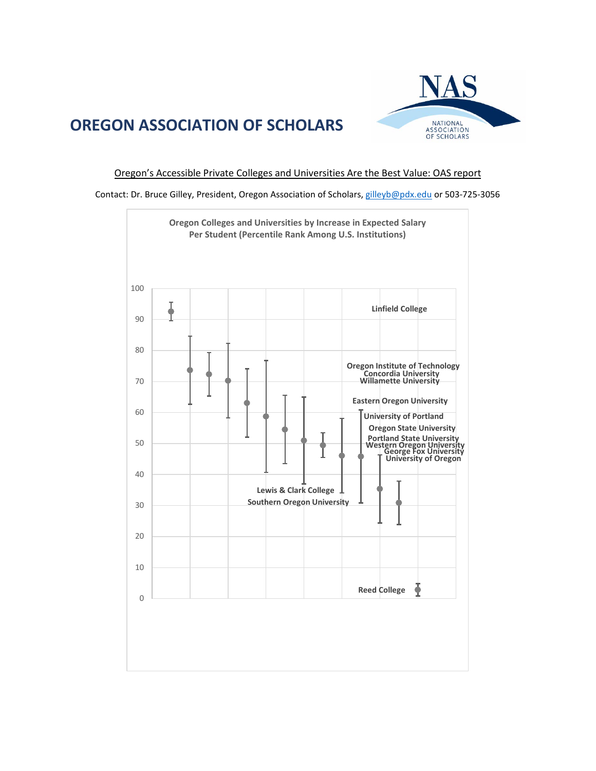# **OREGON ASSOCIATION OF SCHOLARS**



#### Oregon's Accessible Private Colleges and Universities Are the Best Value: OAS report

Contact: Dr. Bruce Gilley, President, Oregon Association of Scholars, [gilleyb@pdx.edu](mailto:gilleyb@pdx.edu) or 503-725-3056

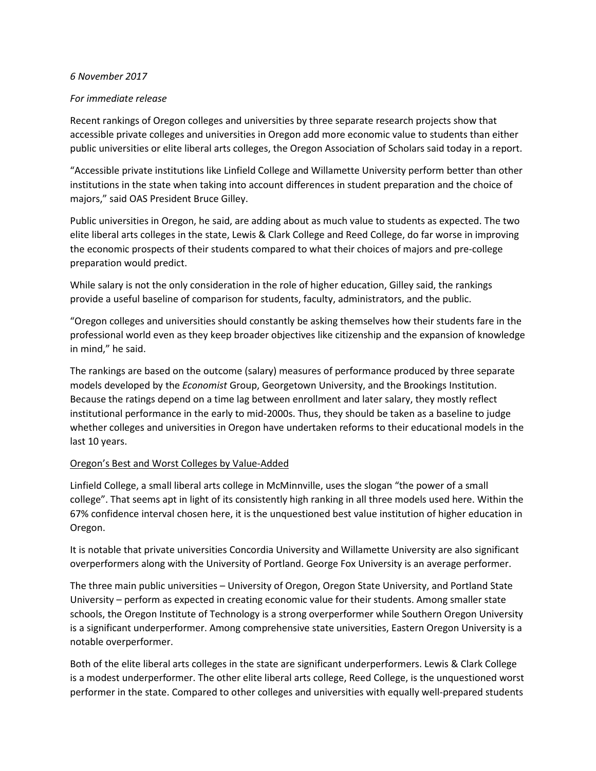#### *6 November 2017*

## *For immediate release*

Recent rankings of Oregon colleges and universities by three separate research projects show that accessible private colleges and universities in Oregon add more economic value to students than either public universities or elite liberal arts colleges, the Oregon Association of Scholars said today in a report.

"Accessible private institutions like Linfield College and Willamette University perform better than other institutions in the state when taking into account differences in student preparation and the choice of majors," said OAS President Bruce Gilley.

Public universities in Oregon, he said, are adding about as much value to students as expected. The two elite liberal arts colleges in the state, Lewis & Clark College and Reed College, do far worse in improving the economic prospects of their students compared to what their choices of majors and pre-college preparation would predict.

While salary is not the only consideration in the role of higher education, Gilley said, the rankings provide a useful baseline of comparison for students, faculty, administrators, and the public.

"Oregon colleges and universities should constantly be asking themselves how their students fare in the professional world even as they keep broader objectives like citizenship and the expansion of knowledge in mind," he said.

The rankings are based on the outcome (salary) measures of performance produced by three separate models developed by the *Economist* Group, Georgetown University, and the Brookings Institution. Because the ratings depend on a time lag between enrollment and later salary, they mostly reflect institutional performance in the early to mid-2000s. Thus, they should be taken as a baseline to judge whether colleges and universities in Oregon have undertaken reforms to their educational models in the last 10 years.

## Oregon's Best and Worst Colleges by Value-Added

Linfield College, a small liberal arts college in McMinnville, uses the slogan "the power of a small college". That seems apt in light of its consistently high ranking in all three models used here. Within the 67% confidence interval chosen here, it is the unquestioned best value institution of higher education in Oregon.

It is notable that private universities Concordia University and Willamette University are also significant overperformers along with the University of Portland. George Fox University is an average performer.

The three main public universities – University of Oregon, Oregon State University, and Portland State University – perform as expected in creating economic value for their students. Among smaller state schools, the Oregon Institute of Technology is a strong overperformer while Southern Oregon University is a significant underperformer. Among comprehensive state universities, Eastern Oregon University is a notable overperformer.

Both of the elite liberal arts colleges in the state are significant underperformers. Lewis & Clark College is a modest underperformer. The other elite liberal arts college, Reed College, is the unquestioned worst performer in the state. Compared to other colleges and universities with equally well-prepared students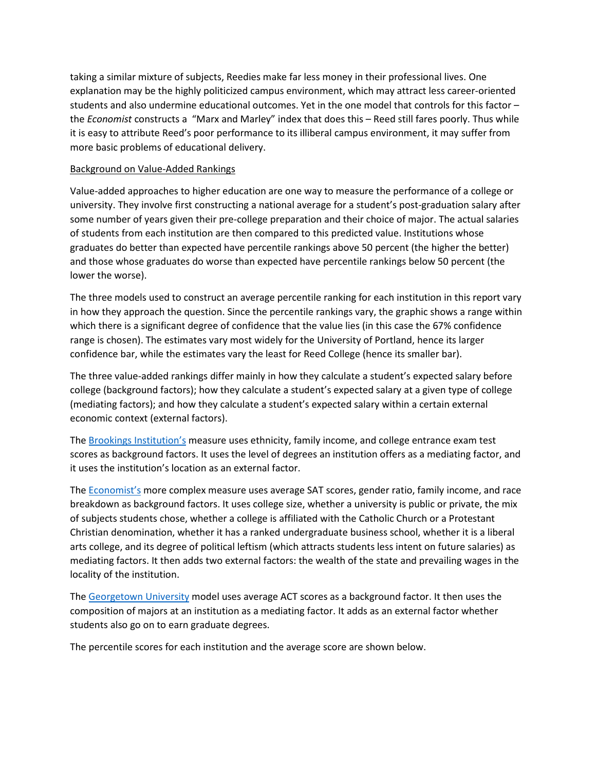taking a similar mixture of subjects, Reedies make far less money in their professional lives. One explanation may be the highly politicized campus environment, which may attract less career-oriented students and also undermine educational outcomes. Yet in the one model that controls for this factor – the *Economist* constructs a "Marx and Marley" index that does this – Reed still fares poorly. Thus while it is easy to attribute Reed's poor performance to its illiberal campus environment, it may suffer from more basic problems of educational delivery.

### Background on Value-Added Rankings

Value-added approaches to higher education are one way to measure the performance of a college or university. They involve first constructing a national average for a student's post-graduation salary after some number of years given their pre-college preparation and their choice of major. The actual salaries of students from each institution are then compared to this predicted value. Institutions whose graduates do better than expected have percentile rankings above 50 percent (the higher the better) and those whose graduates do worse than expected have percentile rankings below 50 percent (the lower the worse).

The three models used to construct an average percentile ranking for each institution in this report vary in how they approach the question. Since the percentile rankings vary, the graphic shows a range within which there is a significant degree of confidence that the value lies (in this case the 67% confidence range is chosen). The estimates vary most widely for the University of Portland, hence its larger confidence bar, while the estimates vary the least for Reed College (hence its smaller bar).

The three value-added rankings differ mainly in how they calculate a student's expected salary before college (background factors); how they calculate a student's expected salary at a given type of college (mediating factors); and how they calculate a student's expected salary within a certain external economic context (external factors).

The [Brookings Institution's](https://www.brookings.edu/research/using-earnings-data-to-rank-colleges-a-value-added-approach-updated-with-college-scorecard-data/) measure uses ethnicity, family income, and college entrance exam test scores as background factors. It uses the level of degrees an institution offers as a mediating factor, and it uses the institution's location as an external factor.

The [Economist's](https://www.economist.com/blogs/graphicdetail/2015/10/value-university) more complex measure uses average SAT scores, gender ratio, family income, and race breakdown as background factors. It uses college size, whether a university is public or private, the mix of subjects students chose, whether a college is affiliated with the Catholic Church or a Protestant Christian denomination, whether it has a ranked undergraduate business school, whether it is a liberal arts college, and its degree of political leftism (which attracts students less intent on future salaries) as mediating factors. It then adds two external factors: the wealth of the state and prevailing wages in the locality of the institution.

The [Georgetown University](https://cew.georgetown.edu/cew-reports/college-rankings/) model uses average ACT scores as a background factor. It then uses the composition of majors at an institution as a mediating factor. It adds as an external factor whether students also go on to earn graduate degrees.

The percentile scores for each institution and the average score are shown below.